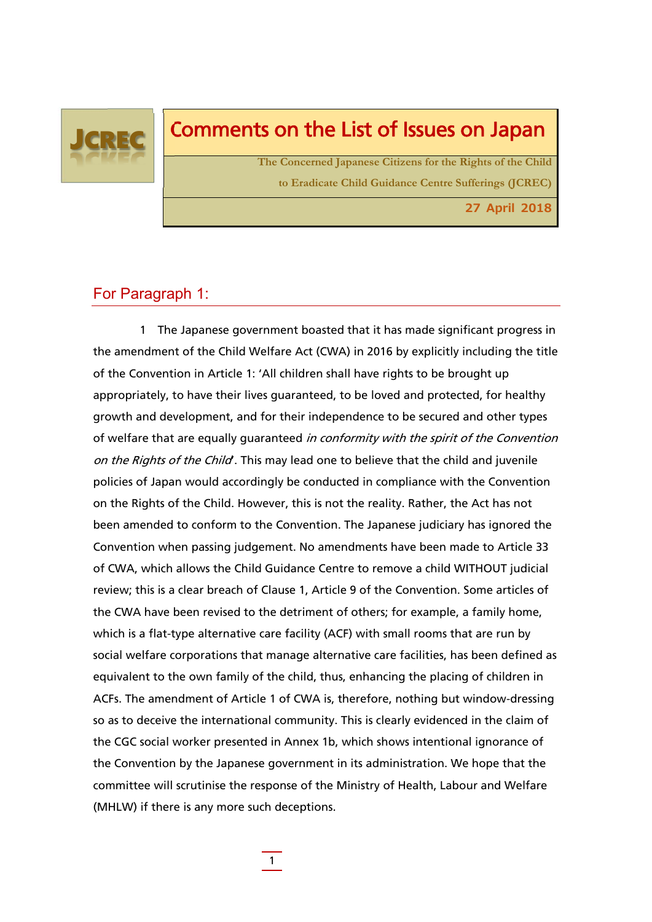

# Comments on the List of Issues on Japan

**The Concerned Japanese Citizens for the Rights of the Child to Eradicate Child Guidance Centre Sufferings (JCREC)**

**27 April 2018**

# For Paragraph 1:

1 The Japanese government boasted that it has made significant progress in the amendment of the Child Welfare Act (CWA) in 2016 by explicitly including the title of the Convention in Article 1: 'All children shall have rights to be brought up appropriately, to have their lives guaranteed, to be loved and protected, for healthy growth and development, and for their independence to be secured and other types of welfare that are equally guaranteed in conformity with the spirit of the Convention on the Rights of the Child. This may lead one to believe that the child and juvenile policies of Japan would accordingly be conducted in compliance with the Convention on the Rights of the Child. However, this is not the reality. Rather, the Act has not been amended to conform to the Convention. The Japanese judiciary has ignored the Convention when passing judgement. No amendments have been made to Article 33 of CWA, which allows the Child Guidance Centre to remove a child WITHOUT judicial review; this is a clear breach of Clause 1, Article 9 of the Convention. Some articles of the CWA have been revised to the detriment of others; for example, a family home, which is a flat-type alternative care facility (ACF) with small rooms that are run by social welfare corporations that manage alternative care facilities, has been defined as equivalent to the own family of the child, thus, enhancing the placing of children in ACFs. The amendment of Article 1 of CWA is, therefore, nothing but window-dressing so as to deceive the international community. This is clearly evidenced in the claim of the CGC social worker presented in Annex 1b, which shows intentional ignorance of the Convention by the Japanese government in its administration. We hope that the committee will scrutinise the response of the Ministry of Health, Labour and Welfare (MHLW) if there is any more such deceptions.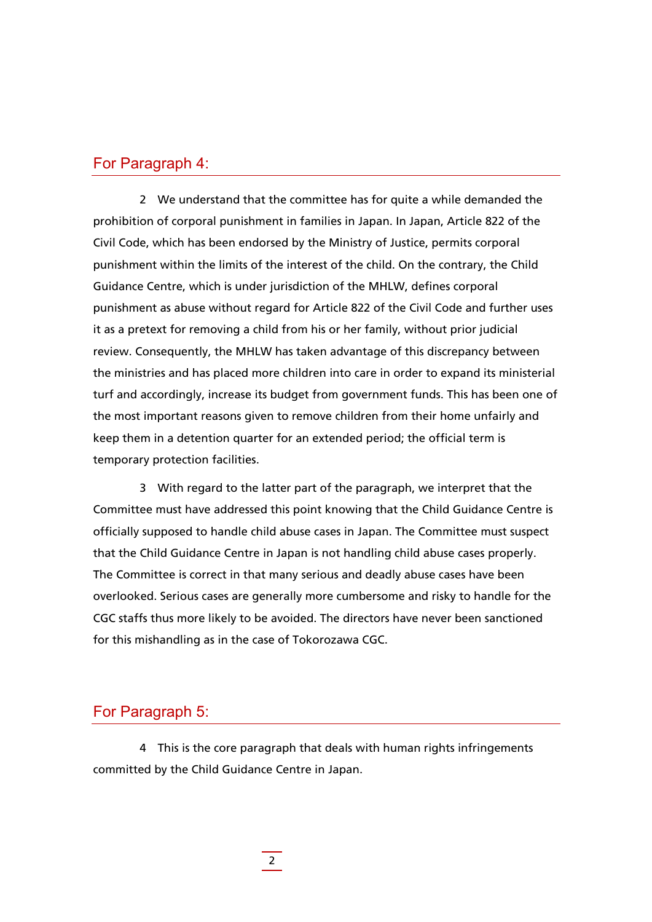## For Paragraph 4:

 2 We understand that the committee has for quite a while demanded the prohibition of corporal punishment in families in Japan. In Japan, Article 822 of the Civil Code, which has been endorsed by the Ministry of Justice, permits corporal punishment within the limits of the interest of the child. On the contrary, the Child Guidance Centre, which is under jurisdiction of the MHLW, defines corporal punishment as abuse without regard for Article 822 of the Civil Code and further uses it as a pretext for removing a child from his or her family, without prior judicial review. Consequently, the MHLW has taken advantage of this discrepancy between the ministries and has placed more children into care in order to expand its ministerial turf and accordingly, increase its budget from government funds. This has been one of the most important reasons given to remove children from their home unfairly and keep them in a detention quarter for an extended period; the official term is temporary protection facilities.

3 With regard to the latter part of the paragraph, we interpret that the Committee must have addressed this point knowing that the Child Guidance Centre is officially supposed to handle child abuse cases in Japan. The Committee must suspect that the Child Guidance Centre in Japan is not handling child abuse cases properly. The Committee is correct in that many serious and deadly abuse cases have been overlooked. Serious cases are generally more cumbersome and risky to handle for the CGC staffs thus more likely to be avoided. The directors have never been sanctioned for this mishandling as in the case of Tokorozawa CGC.

### For Paragraph 5:

4 This is the core paragraph that deals with human rights infringements committed by the Child Guidance Centre in Japan.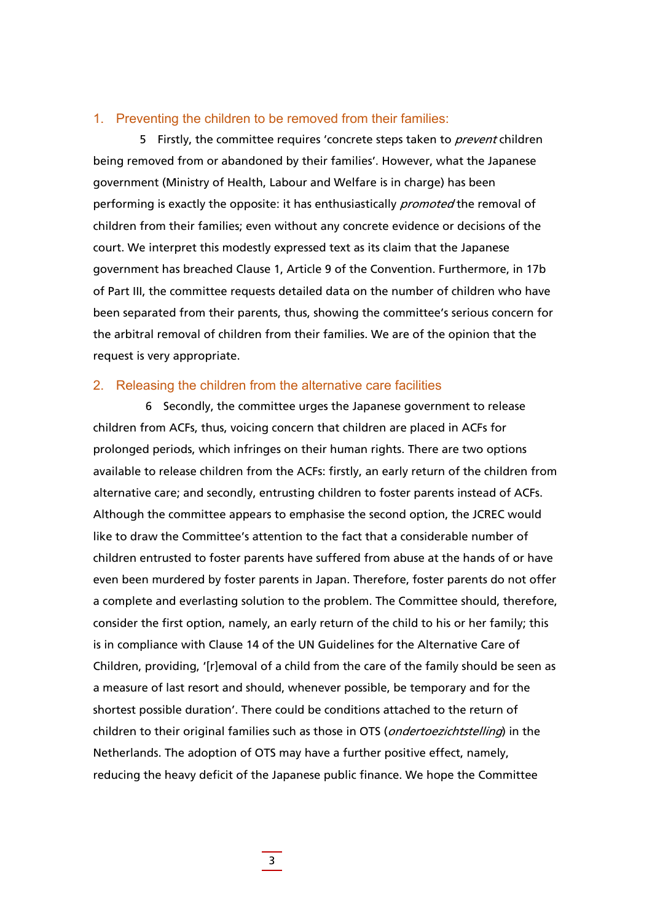#### 1. Preventing the children to be removed from their families:

5 Firstly, the committee requires 'concrete steps taken to *prevent* children being removed from or abandoned by their families'. However, what the Japanese government (Ministry of Health, Labour and Welfare is in charge) has been performing is exactly the opposite: it has enthusiastically *promoted* the removal of children from their families; even without any concrete evidence or decisions of the court. We interpret this modestly expressed text as its claim that the Japanese government has breached Clause 1, Article 9 of the Convention. Furthermore, in 17b of Part III, the committee requests detailed data on the number of children who have been separated from their parents, thus, showing the committee's serious concern for the arbitral removal of children from their families. We are of the opinion that the request is very appropriate.

#### 2. Releasing the children from the alternative care facilities

6 Secondly, the committee urges the Japanese government to release children from ACFs, thus, voicing concern that children are placed in ACFs for prolonged periods, which infringes on their human rights. There are two options available to release children from the ACFs: firstly, an early return of the children from alternative care; and secondly, entrusting children to foster parents instead of ACFs. Although the committee appears to emphasise the second option, the JCREC would like to draw the Committee's attention to the fact that a considerable number of children entrusted to foster parents have suffered from abuse at the hands of or have even been murdered by foster parents in Japan. Therefore, foster parents do not offer a complete and everlasting solution to the problem. The Committee should, therefore, consider the first option, namely, an early return of the child to his or her family; this is in compliance with Clause 14 of the UN Guidelines for the Alternative Care of Children, providing, '[r]emoval of a child from the care of the family should be seen as a measure of last resort and should, whenever possible, be temporary and for the shortest possible duration'. There could be conditions attached to the return of children to their original families such as those in OTS (*ondertoezichtstelling*) in the Netherlands. The adoption of OTS may have a further positive effect, namely, reducing the heavy deficit of the Japanese public finance. We hope the Committee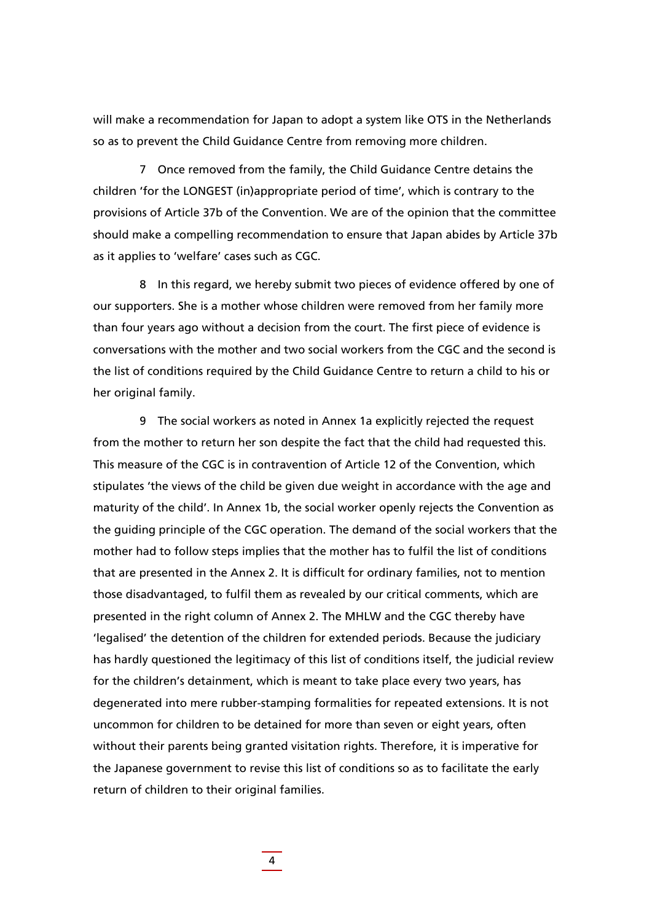will make a recommendation for Japan to adopt a system like OTS in the Netherlands so as to prevent the Child Guidance Centre from removing more children.

7 Once removed from the family, the Child Guidance Centre detains the children 'for the LONGEST (in)appropriate period of time', which is contrary to the provisions of Article 37b of the Convention. We are of the opinion that the committee should make a compelling recommendation to ensure that Japan abides by Article 37b as it applies to 'welfare' cases such as CGC.

8 In this regard, we hereby submit two pieces of evidence offered by one of our supporters. She is a mother whose children were removed from her family more than four years ago without a decision from the court. The first piece of evidence is conversations with the mother and two social workers from the CGC and the second is the list of conditions required by the Child Guidance Centre to return a child to his or her original family.

9 The social workers as noted in Annex 1a explicitly rejected the request from the mother to return her son despite the fact that the child had requested this. This measure of the CGC is in contravention of Article 12 of the Convention, which stipulates 'the views of the child be given due weight in accordance with the age and maturity of the child'. In Annex 1b, the social worker openly rejects the Convention as the guiding principle of the CGC operation. The demand of the social workers that the mother had to follow steps implies that the mother has to fulfil the list of conditions that are presented in the Annex 2. It is difficult for ordinary families, not to mention those disadvantaged, to fulfil them as revealed by our critical comments, which are presented in the right column of Annex 2. The MHLW and the CGC thereby have 'legalised' the detention of the children for extended periods. Because the judiciary has hardly questioned the legitimacy of this list of conditions itself, the judicial review for the children's detainment, which is meant to take place every two years, has degenerated into mere rubber-stamping formalities for repeated extensions. It is not uncommon for children to be detained for more than seven or eight years, often without their parents being granted visitation rights. Therefore, it is imperative for the Japanese government to revise this list of conditions so as to facilitate the early return of children to their original families.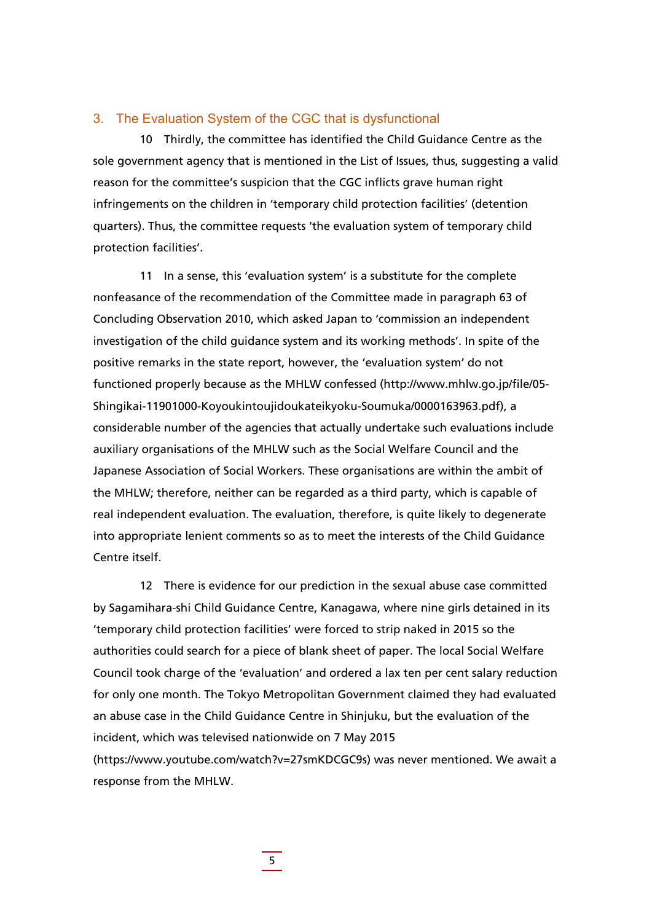#### 3. The Evaluation System of the CGC that is dysfunctional

10 Thirdly, the committee has identified the Child Guidance Centre as the sole government agency that is mentioned in the List of Issues, thus, suggesting a valid reason for the committee's suspicion that the CGC inflicts grave human right infringements on the children in 'temporary child protection facilities' (detention quarters). Thus, the committee requests 'the evaluation system of temporary child protection facilities'.

11 In a sense, this 'evaluation system' is a substitute for the complete nonfeasance of the recommendation of the Committee made in paragraph 63 of Concluding Observation 2010, which asked Japan to 'commission an independent investigation of the child guidance system and its working methods'. In spite of the positive remarks in the state report, however, the 'evaluation system' do not functioned properly because as the MHLW confessed (http://www.mhlw.go.jp/file/05- Shingikai-11901000-Koyoukintoujidoukateikyoku-Soumuka/0000163963.pdf), a considerable number of the agencies that actually undertake such evaluations include auxiliary organisations of the MHLW such as the Social Welfare Council and the Japanese Association of Social Workers. These organisations are within the ambit of the MHLW; therefore, neither can be regarded as a third party, which is capable of real independent evaluation. The evaluation, therefore, is quite likely to degenerate into appropriate lenient comments so as to meet the interests of the Child Guidance Centre itself.

12 There is evidence for our prediction in the sexual abuse case committed by Sagamihara-shi Child Guidance Centre, Kanagawa, where nine girls detained in its 'temporary child protection facilities' were forced to strip naked in 2015 so the authorities could search for a piece of blank sheet of paper. The local Social Welfare Council took charge of the 'evaluation' and ordered a lax ten per cent salary reduction for only one month. The Tokyo Metropolitan Government claimed they had evaluated an abuse case in the Child Guidance Centre in Shinjuku, but the evaluation of the incident, which was televised nationwide on 7 May 2015 (https://www.youtube.com/watch?v=27smKDCGC9s) was never mentioned. We await a response from the MHLW.

5